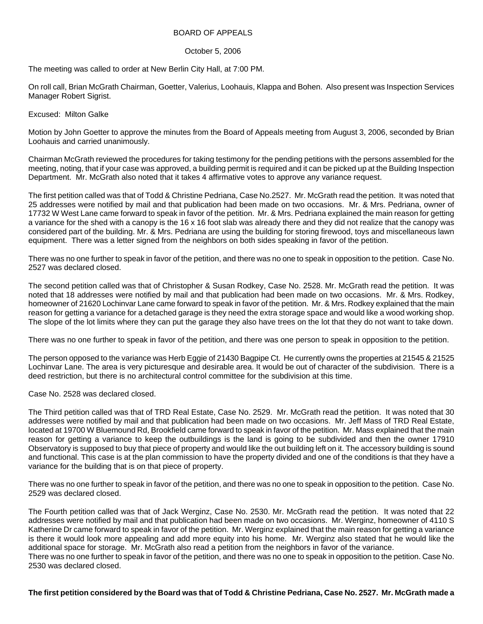## BOARD OF APPEALS

## October 5, 2006

The meeting was called to order at New Berlin City Hall, at 7:00 PM.

On roll call, Brian McGrath Chairman, Goetter, Valerius, Loohauis, Klappa and Bohen. Also present was Inspection Services Manager Robert Sigrist.

## Excused: Milton Galke

Motion by John Goetter to approve the minutes from the Board of Appeals meeting from August 3, 2006, seconded by Brian Loohauis and carried unanimously.

Chairman McGrath reviewed the procedures for taking testimony for the pending petitions with the persons assembled for the meeting, noting, that if your case was approved, a building permit is required and it can be picked up at the Building Inspection Department. Mr. McGrath also noted that it takes 4 affirmative votes to approve any variance request.

The first petition called was that of Todd & Christine Pedriana, Case No.2527. Mr. McGrath read the petition. It was noted that 25 addresses were notified by mail and that publication had been made on two occasions. Mr. & Mrs. Pedriana, owner of 17732 W West Lane came forward to speak in favor of the petition. Mr. & Mrs. Pedriana explained the main reason for getting a variance for the shed with a canopy is the 16 x 16 foot slab was already there and they did not realize that the canopy was considered part of the building. Mr. & Mrs. Pedriana are using the building for storing firewood, toys and miscellaneous lawn equipment. There was a letter signed from the neighbors on both sides speaking in favor of the petition.

There was no one further to speak in favor of the petition, and there was no one to speak in opposition to the petition. Case No. 2527 was declared closed.

The second petition called was that of Christopher & Susan Rodkey, Case No. 2528. Mr. McGrath read the petition. It was noted that 18 addresses were notified by mail and that publication had been made on two occasions. Mr. & Mrs. Rodkey, homeowner of 21620 Lochinvar Lane came forward to speak in favor of the petition. Mr. & Mrs. Rodkey explained that the main reason for getting a variance for a detached garage is they need the extra storage space and would like a wood working shop. The slope of the lot limits where they can put the garage they also have trees on the lot that they do not want to take down.

There was no one further to speak in favor of the petition, and there was one person to speak in opposition to the petition.

The person opposed to the variance was Herb Eggie of 21430 Bagpipe Ct. He currently owns the properties at 21545 & 21525 Lochinvar Lane. The area is very picturesque and desirable area. It would be out of character of the subdivision. There is a deed restriction, but there is no architectural control committee for the subdivision at this time.

Case No. 2528 was declared closed.

The Third petition called was that of TRD Real Estate, Case No. 2529. Mr. McGrath read the petition. It was noted that 30 addresses were notified by mail and that publication had been made on two occasions. Mr. Jeff Mass of TRD Real Estate, located at 19700 W Bluemound Rd, Brookfield came forward to speak in favor of the petition. Mr. Mass explained that the main reason for getting a variance to keep the outbuildings is the land is going to be subdivided and then the owner 17910 Observatory is supposed to buy that piece of property and would like the out building left on it. The accessory building is sound and functional. This case is at the plan commission to have the property divided and one of the conditions is that they have a variance for the building that is on that piece of property.

There was no one further to speak in favor of the petition, and there was no one to speak in opposition to the petition. Case No. 2529 was declared closed.

The Fourth petition called was that of Jack Werginz, Case No. 2530. Mr. McGrath read the petition. It was noted that 22 addresses were notified by mail and that publication had been made on two occasions. Mr. Werginz, homeowner of 4110 S Katherine Dr came forward to speak in favor of the petition. Mr. Werginz explained that the main reason for getting a variance is there it would look more appealing and add more equity into his home. Mr. Werginz also stated that he would like the additional space for storage. Mr. McGrath also read a petition from the neighbors in favor of the variance.

There was no one further to speak in favor of the petition, and there was no one to speak in opposition to the petition. Case No. 2530 was declared closed.